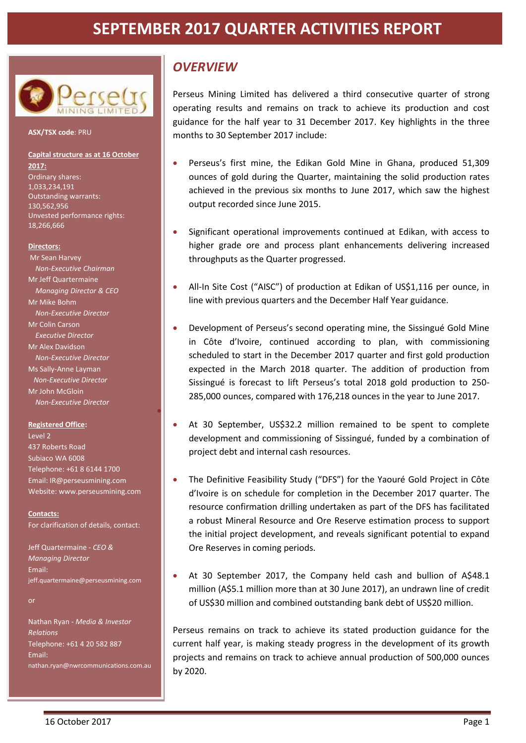

**ASX/TSX code**: PRU

#### **Capital structure as at 16 October 2017:**

Ordinary shares: 1,033,234,191 Outstanding warrants: 130,562,956 Unvested performance rights: 18,266,666

#### **Directors:**

Mr Sean Harvey *Non-Executive Chairman* Mr Jeff Quartermaine  *Managing Director & CEO* Mr Mike Bohm  *Non-Executive Director* Mr Colin Carson *Executive Director* Mr Alex Davidson  *Non-Executive Director* Ms Sally-Anne Layman  *Non-Executive Director* Mr John McGloin  *Non-Executive Director*

#### **Registered Office:**

Level 2 437 Roberts Road Subiaco WA 6008 Telephone: +61 8 6144 1700 Email: IR@perseusmining.com Website: www.perseusmining.com  $\bullet$ 

**Contacts:** For clarification of details, contact:

Jeff Quartermaine - *CEO & Managing Director*  Email: [jeff.quartermaine@perseusmining.com](mailto:jeff.quartermaine@perseusmining.com)

or

Nathan Ryan - *Media & Investor Relations*  Telephone: +61 4 20 582 887 Email: [na](mailto:nathan.ryan@nwrcommunications.com.au)than.ryan@nwrcommunications.com.au

# *OVERVIEW*

Perseus Mining Limited has delivered a third consecutive quarter of strong operating results and remains on track to achieve its production and cost guidance for the half year to 31 December 2017. Key highlights in the three months to 30 September 2017 include:

- Perseus's first mine, the Edikan Gold Mine in Ghana, produced 51,309 ounces of gold during the Quarter, maintaining the solid production rates achieved in the previous six months to June 2017, which saw the highest output recorded since June 2015.
- Significant operational improvements continued at Edikan, with access to higher grade ore and process plant enhancements delivering increased throughputs as the Quarter progressed.
- All-In Site Cost ("AISC") of production at Edikan of US\$1,116 per ounce, in line with previous quarters and the December Half Year guidance.
- Development of Perseus's second operating mine, the Sissingué Gold Mine in Côte d'Ivoire, continued according to plan, with commissioning scheduled to start in the December 2017 quarter and first gold production expected in the March 2018 quarter. The addition of production from Sissingué is forecast to lift Perseus's total 2018 gold production to 250- 285,000 ounces, compared with 176,218 ounces in the year to June 2017.
- At 30 September, US\$32.2 million remained to be spent to complete development and commissioning of Sissingué, funded by a combination of project debt and internal cash resources.
- The Definitive Feasibility Study ("DFS") for the Yaouré Gold Project in Côte d'Ivoire is on schedule for completion in the December 2017 quarter. The resource confirmation drilling undertaken as part of the DFS has facilitated a robust Mineral Resource and Ore Reserve estimation process to support the initial project development, and reveals significant potential to expand Ore Reserves in coming periods.
- At 30 September 2017, the Company held cash and bullion of A\$48.1 million (A\$5.1 million more than at 30 June 2017), an undrawn line of credit of US\$30 million and combined outstanding bank debt of US\$20 million.

Perseus remains on track to achieve its stated production guidance for the current half year, is making steady progress in the development of its growth projects and remains on track to achieve annual production of 500,000 ounces by 2020.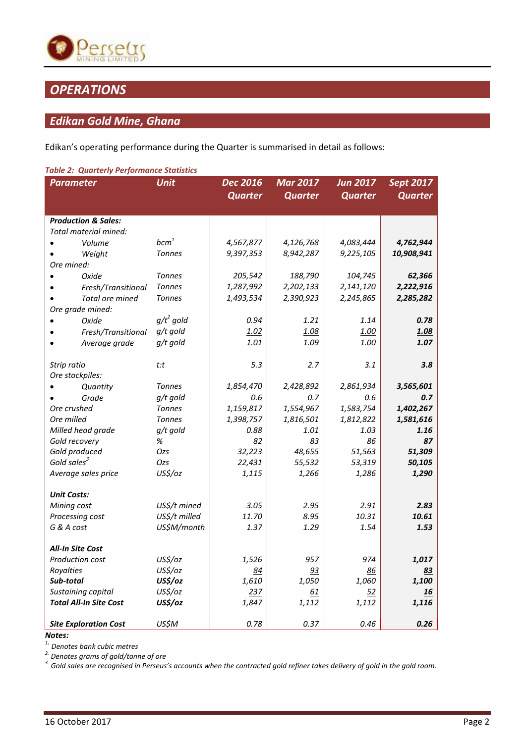

# *OPERATIONS*

## *Edikan Gold Mine, Ghana*

Edikan's operating performance during the Quarter is summarised in detail as follows:

| <b>Table 2: Quarterly Performance Statistics</b><br><b>Parameter</b> | <b>Unit</b>      | <b>Dec 2016</b> | <b>Mar 2017</b> | <b>Jun 2017</b> |                    |
|----------------------------------------------------------------------|------------------|-----------------|-----------------|-----------------|--------------------|
|                                                                      |                  |                 |                 |                 | <b>Sept 2017</b>   |
|                                                                      |                  | <b>Quarter</b>  | <b>Quarter</b>  | <b>Quarter</b>  | <b>Quarter</b>     |
| <b>Production &amp; Sales:</b>                                       |                  |                 |                 |                 |                    |
| Total material mined:                                                |                  |                 |                 |                 |                    |
| Volume                                                               | bcm <sup>1</sup> | 4,567,877       | 4,126,768       | 4,083,444       | 4,762,944          |
| Weight                                                               | <b>Tonnes</b>    | 9,397,353       | 8,942,287       | 9,225,105       | 10,908,941         |
| Ore mined:                                                           |                  |                 |                 |                 |                    |
| Oxide                                                                | <b>Tonnes</b>    | 205,542         | 188,790         | 104,745         | 62,366             |
| Fresh/Transitional                                                   | <b>Tonnes</b>    | 1,287,992       | 2,202,133       | 2,141,120       | 2,222,916          |
| Total ore mined                                                      | <b>Tonnes</b>    | 1,493,534       | 2,390,923       | 2,245,865       | 2,285,282          |
| Ore grade mined:                                                     |                  |                 |                 |                 |                    |
| Oxide                                                                | $g/t^2$ gold     | 0.94            | 1.21            | 1.14            | 0.78               |
| Fresh/Transitional                                                   | g/t gold         | 1.02            | 1.08            | 1.00            | 1.08               |
| Average grade                                                        | g/t gold         | 1.01            | 1.09            | 1.00            | 1.07               |
|                                                                      |                  |                 |                 |                 |                    |
| Strip ratio                                                          | t:t              | 5.3             | 2.7             | 3.1             | 3.8                |
| Ore stockpiles:                                                      |                  |                 |                 |                 |                    |
| Quantity                                                             | <b>Tonnes</b>    | 1,854,470       | 2,428,892       | 2,861,934       | 3,565,601          |
| Grade                                                                | g/t gold         | 0.6             | 0.7             | 0.6             | 0.7                |
| Ore crushed                                                          | <b>Tonnes</b>    | 1,159,817       | 1,554,967       | 1,583,754       | 1,402,267          |
| Ore milled                                                           | <b>Tonnes</b>    | 1,398,757       | 1,816,501       | 1,812,822       | 1,581,616          |
| Milled head grade                                                    | g/t gold         | 0.88            | 1.01            | 1.03            | 1.16               |
| Gold recovery                                                        | $\%$             | 82              | 83              | 86              | 87                 |
| Gold produced                                                        | Ozs              | 32,223          | 48,655          | 51,563          | 51,309             |
| Gold sales <sup>3</sup>                                              | Ozs              | 22,431          | 55,532          | 53,319          | 50,105             |
| Average sales price                                                  | US\$/oz          | 1,115           | 1,266           | 1,286           | 1,290              |
| <b>Unit Costs:</b>                                                   |                  |                 |                 |                 |                    |
| Mining cost                                                          | US\$/t mined     | 3.05            | 2.95            | 2.91            | 2.83               |
| Processing cost                                                      | US\$/t milled    | 11.70           | 8.95            | 10.31           | 10.61              |
| G & A cost                                                           | US\$M/month      | 1.37            | 1.29            | 1.54            | 1.53               |
|                                                                      |                  |                 |                 |                 |                    |
| All-In Site Cost<br>Production cost                                  | US\$/oz          | 1,526           | 957             | 974             | 1,017              |
| Royalties                                                            | US\$/oz          | <u>84</u>       | 93              | 86              |                    |
| Sub-total                                                            | US\$/oz          | 1,610           | 1,050           | 1,060           | <u>83</u><br>1,100 |
| Sustaining capital                                                   | US\$/oz          | 237             | 61              | <u>52</u>       | <u>16</u>          |
| <b>Total All-In Site Cost</b>                                        | US\$/oz          | 1,847           | 1,112           | 1,112           | 1,116              |
|                                                                      |                  |                 |                 |                 |                    |
| <b>Site Exploration Cost</b>                                         | US\$M            | 0.78            | 0.37            | 0.46            | 0.26               |

## *Notes:*

*1. Denotes bank cubic metres* 

*2. Denotes grams of gold/tonne of ore* 

*3. Gold sales are recognised in Perseus's accounts when the contracted gold refiner takes delivery of gold in the gold room.*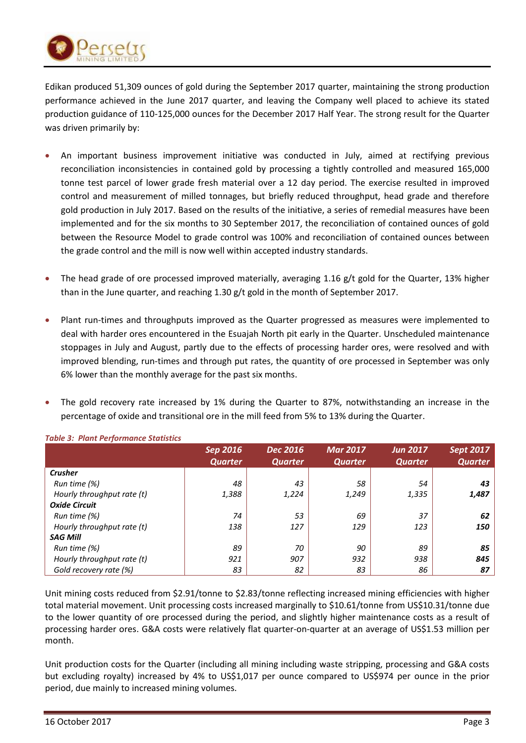

Edikan produced 51,309 ounces of gold during the September 2017 quarter, maintaining the strong production performance achieved in the June 2017 quarter, and leaving the Company well placed to achieve its stated production guidance of 110-125,000 ounces for the December 2017 Half Year. The strong result for the Quarter was driven primarily by:

- An important business improvement initiative was conducted in July, aimed at rectifying previous reconciliation inconsistencies in contained gold by processing a tightly controlled and measured 165,000 tonne test parcel of lower grade fresh material over a 12 day period. The exercise resulted in improved control and measurement of milled tonnages, but briefly reduced throughput, head grade and therefore gold production in July 2017. Based on the results of the initiative, a series of remedial measures have been implemented and for the six months to 30 September 2017, the reconciliation of contained ounces of gold between the Resource Model to grade control was 100% and reconciliation of contained ounces between the grade control and the mill is now well within accepted industry standards.
- The head grade of ore processed improved materially, averaging 1.16 g/t gold for the Quarter, 13% higher than in the June quarter, and reaching 1.30 g/t gold in the month of September 2017.
- Plant run-times and throughputs improved as the Quarter progressed as measures were implemented to deal with harder ores encountered in the Esuajah North pit early in the Quarter. Unscheduled maintenance stoppages in July and August, partly due to the effects of processing harder ores, were resolved and with improved blending, run-times and through put rates, the quantity of ore processed in September was only 6% lower than the monthly average for the past six months.
- The gold recovery rate increased by 1% during the Quarter to 87%, notwithstanding an increase in the percentage of oxide and transitional ore in the mill feed from 5% to 13% during the Quarter.

|                            | Sep 2016       | <b>Dec 2016</b> | <b>Mar 2017</b> | <b>Jun 2017</b> | <b>Sept 2017</b> |
|----------------------------|----------------|-----------------|-----------------|-----------------|------------------|
|                            | <b>Quarter</b> | <b>Quarter</b>  | <b>Quarter</b>  | <b>Quarter</b>  | <b>Quarter</b>   |
| <b>Crusher</b>             |                |                 |                 |                 |                  |
| Run time (%)               | 48             | 43              | 58              | 54              | 43               |
| Hourly throughput rate (t) | 1,388          | 1,224           | 1,249           | 1,335           | 1,487            |
| <b>Oxide Circuit</b>       |                |                 |                 |                 |                  |
| Run time (%)               | 74             | 53              | 69              | 37              | 62               |
| Hourly throughput rate (t) | 138            | 127             | 129             | 123             | 150              |
| <b>SAG Mill</b>            |                |                 |                 |                 |                  |
| Run time (%)               | 89             | 70              | 90              | 89              | 85               |
| Hourly throughput rate (t) | 921            | 907             | 932             | 938             | 845              |
| Gold recovery rate (%)     | 83             | 82              | 83              | 86              | 87               |

#### *Table 3: Plant Performance Statistics*

Unit mining costs reduced from \$2.91/tonne to \$2.83/tonne reflecting increased mining efficiencies with higher total material movement. Unit processing costs increased marginally to \$10.61/tonne from US\$10.31/tonne due to the lower quantity of ore processed during the period, and slightly higher maintenance costs as a result of processing harder ores. G&A costs were relatively flat quarter-on-quarter at an average of US\$1.53 million per month.

Unit production costs for the Quarter (including all mining including waste stripping, processing and G&A costs but excluding royalty) increased by 4% to US\$1,017 per ounce compared to US\$974 per ounce in the prior period, due mainly to increased mining volumes.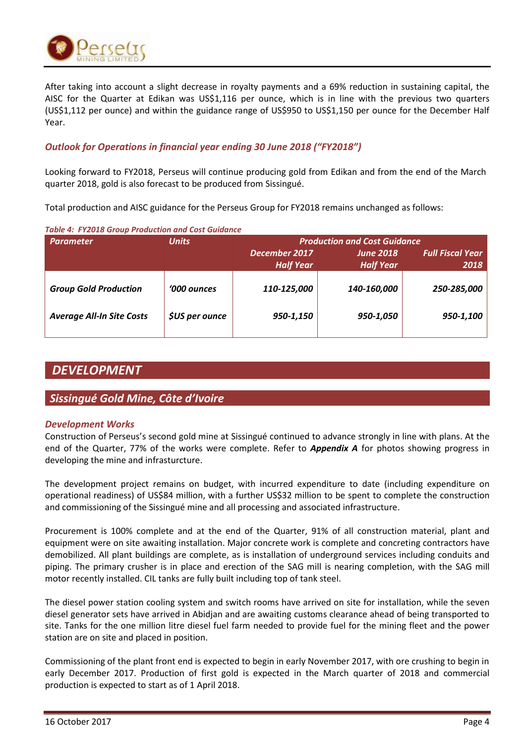

After taking into account a slight decrease in royalty payments and a 69% reduction in sustaining capital, the AISC for the Quarter at Edikan was US\$1,116 per ounce, which is in line with the previous two quarters (US\$1,112 per ounce) and within the guidance range of US\$950 to US\$1,150 per ounce for the December Half Year.

## *Outlook for Operations in financial year ending 30 June 2018 ("FY2018")*

Looking forward to FY2018, Perseus will continue producing gold from Edikan and from the end of the March quarter 2018, gold is also forecast to be produced from Sissingué.

Total production and AISC guidance for the Perseus Group for FY2018 remains unchanged as follows:

| <b>Parameter</b>                 | <b>Units</b>   | <b>Production and Cost Guidance</b> |                  |                         |
|----------------------------------|----------------|-------------------------------------|------------------|-------------------------|
|                                  |                | December 2017                       | <b>June 2018</b> | <b>Full Fiscal Year</b> |
|                                  |                | <b>Half Year</b>                    | <b>Half Year</b> | 2018                    |
| <b>Group Gold Production</b>     | '000 ounces    | 110-125,000                         | 140-160,000      | 250-285,000             |
| <b>Average All-In Site Costs</b> | \$US per ounce | 950-1,150                           | 950-1,050        | 950-1,100               |

#### *Table 4: FY2018 Group Production and Cost Guidance*

## *DEVELOPMENT*

## *Sissingué Gold Mine, Côte d'Ivoire*

## *Development Works*

Construction of Perseus's second gold mine at Sissingué continued to advance strongly in line with plans. At the end of the Quarter, 77% of the works were complete. Refer to *Appendix A* for photos showing progress in developing the mine and infrasturcture.

The development project remains on budget, with incurred expenditure to date (including expenditure on operational readiness) of US\$84 million, with a further US\$32 million to be spent to complete the construction and commissioning of the Sissingué mine and all processing and associated infrastructure.

Procurement is 100% complete and at the end of the Quarter, 91% of all construction material, plant and equipment were on site awaiting installation. Major concrete work is complete and concreting contractors have demobilized. All plant buildings are complete, as is installation of underground services including conduits and piping. The primary crusher is in place and erection of the SAG mill is nearing completion, with the SAG mill motor recently installed. CIL tanks are fully built including top of tank steel.

The diesel power station cooling system and switch rooms have arrived on site for installation, while the seven diesel generator sets have arrived in Abidjan and are awaiting customs clearance ahead of being transported to site. Tanks for the one million litre diesel fuel farm needed to provide fuel for the mining fleet and the power station are on site and placed in position.

Commissioning of the plant front end is expected to begin in early November 2017, with ore crushing to begin in early December 2017. Production of first gold is expected in the March quarter of 2018 and commercial production is expected to start as of 1 April 2018.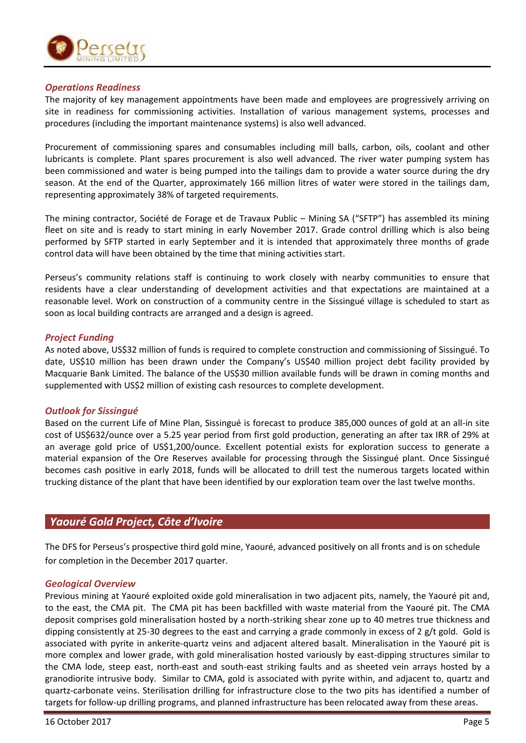

## *Operations Readiness*

The majority of key management appointments have been made and employees are progressively arriving on site in readiness for commissioning activities. Installation of various management systems, processes and procedures (including the important maintenance systems) is also well advanced.

Procurement of commissioning spares and consumables including mill balls, carbon, oils, coolant and other lubricants is complete. Plant spares procurement is also well advanced. The river water pumping system has been commissioned and water is being pumped into the tailings dam to provide a water source during the dry season. At the end of the Quarter, approximately 166 million litres of water were stored in the tailings dam, representing approximately 38% of targeted requirements.

The mining contractor, Société de Forage et de Travaux Public – Mining SA ("SFTP") has assembled its mining fleet on site and is ready to start mining in early November 2017. Grade control drilling which is also being performed by SFTP started in early September and it is intended that approximately three months of grade control data will have been obtained by the time that mining activities start.

Perseus's community relations staff is continuing to work closely with nearby communities to ensure that residents have a clear understanding of development activities and that expectations are maintained at a reasonable level. Work on construction of a community centre in the Sissingué village is scheduled to start as soon as local building contracts are arranged and a design is agreed.

### *Project Funding*

As noted above, US\$32 million of funds is required to complete construction and commissioning of Sissingué. To date, US\$10 million has been drawn under the Company's US\$40 million project debt facility provided by Macquarie Bank Limited. The balance of the US\$30 million available funds will be drawn in coming months and supplemented with US\$2 million of existing cash resources to complete development.

#### *Outlook for Sissingué*

Based on the current Life of Mine Plan, Sissingué is forecast to produce 385,000 ounces of gold at an all-in site cost of US\$632/ounce over a 5.25 year period from first gold production, generating an after tax IRR of 29% at an average gold price of US\$1,200/ounce. Excellent potential exists for exploration success to generate a material expansion of the Ore Reserves available for processing through the Sissingué plant. Once Sissingué becomes cash positive in early 2018, funds will be allocated to drill test the numerous targets located within trucking distance of the plant that have been identified by our exploration team over the last twelve months.

## *Yaouré Gold Project, Côte d'Ivoire*

The DFS for Perseus's prospective third gold mine, Yaouré, advanced positively on all fronts and is on schedule for completion in the December 2017 quarter.

#### *Geological Overview*

Previous mining at Yaouré exploited oxide gold mineralisation in two adjacent pits, namely, the Yaouré pit and, to the east, the CMA pit. The CMA pit has been backfilled with waste material from the Yaouré pit. The CMA deposit comprises gold mineralisation hosted by a north-striking shear zone up to 40 metres true thickness and dipping consistently at 25-30 degrees to the east and carrying a grade commonly in excess of 2 g/t gold. Gold is associated with pyrite in ankerite-quartz veins and adjacent altered basalt. Mineralisation in the Yaouré pit is more complex and lower grade, with gold mineralisation hosted variously by east-dipping structures similar to the CMA lode, steep east, north-east and south-east striking faults and as sheeted vein arrays hosted by a granodiorite intrusive body. Similar to CMA, gold is associated with pyrite within, and adjacent to, quartz and quartz-carbonate veins. Sterilisation drilling for infrastructure close to the two pits has identified a number of targets for follow-up drilling programs, and planned infrastructure has been relocated away from these areas.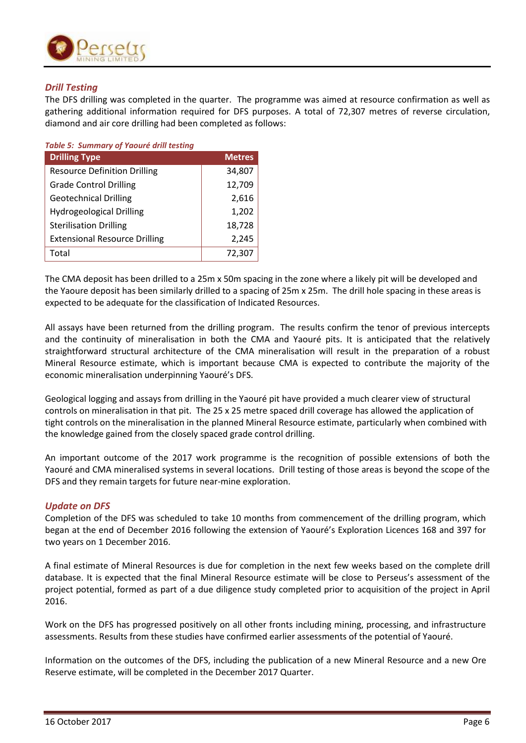

## *Drill Testing*

The DFS drilling was completed in the quarter. The programme was aimed at resource confirmation as well as gathering additional information required for DFS purposes. A total of 72,307 metres of reverse circulation, diamond and air core drilling had been completed as follows:

*Table 5: Summary of Yaouré drill testing*

| <b>Drilling Type</b>                 | <b>Metres</b> |
|--------------------------------------|---------------|
| <b>Resource Definition Drilling</b>  | 34,807        |
| <b>Grade Control Drilling</b>        | 12,709        |
| <b>Geotechnical Drilling</b>         | 2,616         |
| <b>Hydrogeological Drilling</b>      | 1,202         |
| <b>Sterilisation Drilling</b>        | 18,728        |
| <b>Extensional Resource Drilling</b> | 2,245         |
| Total                                | 72,307        |

The CMA deposit has been drilled to a 25m x 50m spacing in the zone where a likely pit will be developed and the Yaoure deposit has been similarly drilled to a spacing of 25m x 25m. The drill hole spacing in these areas is expected to be adequate for the classification of Indicated Resources.

All assays have been returned from the drilling program. The results confirm the tenor of previous intercepts and the continuity of mineralisation in both the CMA and Yaouré pits. It is anticipated that the relatively straightforward structural architecture of the CMA mineralisation will result in the preparation of a robust Mineral Resource estimate, which is important because CMA is expected to contribute the majority of the economic mineralisation underpinning Yaouré's DFS.

Geological logging and assays from drilling in the Yaouré pit have provided a much clearer view of structural controls on mineralisation in that pit. The 25 x 25 metre spaced drill coverage has allowed the application of tight controls on the mineralisation in the planned Mineral Resource estimate, particularly when combined with the knowledge gained from the closely spaced grade control drilling.

An important outcome of the 2017 work programme is the recognition of possible extensions of both the Yaouré and CMA mineralised systems in several locations. Drill testing of those areas is beyond the scope of the DFS and they remain targets for future near-mine exploration.

## *Update on DFS*

Completion of the DFS was scheduled to take 10 months from commencement of the drilling program, which began at the end of December 2016 following the extension of Yaouré's Exploration Licences 168 and 397 for two years on 1 December 2016.

A final estimate of Mineral Resources is due for completion in the next few weeks based on the complete drill database. It is expected that the final Mineral Resource estimate will be close to Perseus's assessment of the project potential, formed as part of a due diligence study completed prior to acquisition of the project in April 2016.

Work on the DFS has progressed positively on all other fronts including mining, processing, and infrastructure assessments. Results from these studies have confirmed earlier assessments of the potential of Yaouré.

Information on the outcomes of the DFS, including the publication of a new Mineral Resource and a new Ore Reserve estimate, will be completed in the December 2017 Quarter.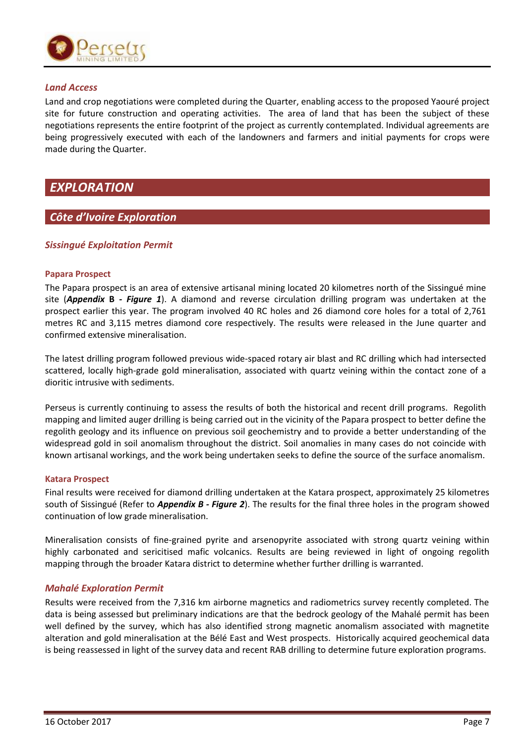

### *Land Access*

Land and crop negotiations were completed during the Quarter, enabling access to the proposed Yaouré project site for future construction and operating activities. The area of land that has been the subject of these negotiations represents the entire footprint of the project as currently contemplated. Individual agreements are being progressively executed with each of the landowners and farmers and initial payments for crops were made during the Quarter.

## *EXPLORATION*

## *Côte d'Ivoire Exploration*

### *Sissingué Exploitation Permit*

#### **Papara Prospect**

The Papara prospect is an area of extensive artisanal mining located 20 kilometres north of the Sissingué mine site (*Appendix* **B** *- Figure 1*). A diamond and reverse circulation drilling program was undertaken at the prospect earlier this year. The program involved 40 RC holes and 26 diamond core holes for a total of 2,761 metres RC and 3,115 metres diamond core respectively. The results were released in the June quarter and confirmed extensive mineralisation.

The latest drilling program followed previous wide-spaced rotary air blast and RC drilling which had intersected scattered, locally high-grade gold mineralisation, associated with quartz veining within the contact zone of a dioritic intrusive with sediments.

Perseus is currently continuing to assess the results of both the historical and recent drill programs. Regolith mapping and limited auger drilling is being carried out in the vicinity of the Papara prospect to better define the regolith geology and its influence on previous soil geochemistry and to provide a better understanding of the widespread gold in soil anomalism throughout the district. Soil anomalies in many cases do not coincide with known artisanal workings, and the work being undertaken seeks to define the source of the surface anomalism.

#### **Katara Prospect**

Final results were received for diamond drilling undertaken at the Katara prospect, approximately 25 kilometres south of Sissingué (Refer to *Appendix B - Figure 2*). The results for the final three holes in the program showed continuation of low grade mineralisation.

Mineralisation consists of fine-grained pyrite and arsenopyrite associated with strong quartz veining within highly carbonated and sericitised mafic volcanics. Results are being reviewed in light of ongoing regolith mapping through the broader Katara district to determine whether further drilling is warranted.

#### *Mahalé Exploration Permit*

Results were received from the 7,316 km airborne magnetics and radiometrics survey recently completed. The data is being assessed but preliminary indications are that the bedrock geology of the Mahalé permit has been well defined by the survey, which has also identified strong magnetic anomalism associated with magnetite alteration and gold mineralisation at the Bélé East and West prospects. Historically acquired geochemical data is being reassessed in light of the survey data and recent RAB drilling to determine future exploration programs.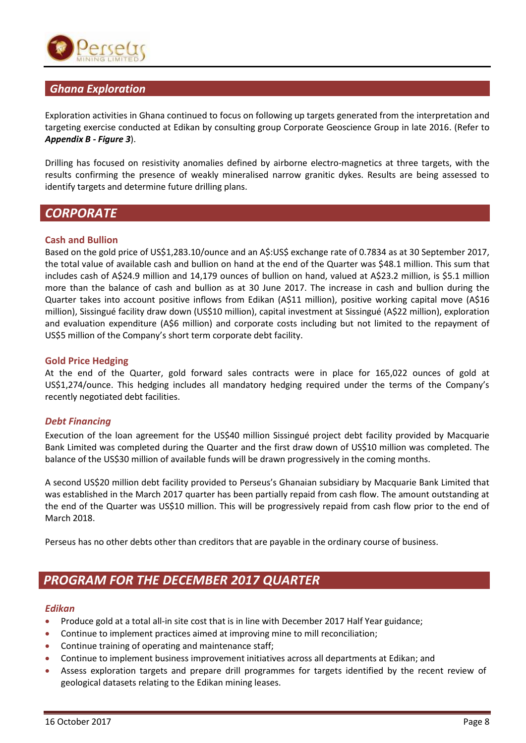

## *Ghana Exploration*

Exploration activities in Ghana continued to focus on following up targets generated from the interpretation and targeting exercise conducted at Edikan by consulting group Corporate Geoscience Group in late 2016. (Refer to *Appendix B - Figure 3*).

Drilling has focused on resistivity anomalies defined by airborne electro-magnetics at three targets, with the results confirming the presence of weakly mineralised narrow granitic dykes. Results are being assessed to identify targets and determine future drilling plans.

## *CORPORATE*

## **Cash and Bullion**

Based on the gold price of US\$1,283.10/ounce and an A\$:US\$ exchange rate of 0.7834 as at 30 September 2017, the total value of available cash and bullion on hand at the end of the Quarter was \$48.1 million. This sum that includes cash of A\$24.9 million and 14,179 ounces of bullion on hand, valued at A\$23.2 million, is \$5.1 million more than the balance of cash and bullion as at 30 June 2017. The increase in cash and bullion during the Quarter takes into account positive inflows from Edikan (A\$11 million), positive working capital move (A\$16 million), Sissingué facility draw down (US\$10 million), capital investment at Sissingué (A\$22 million), exploration and evaluation expenditure (A\$6 million) and corporate costs including but not limited to the repayment of US\$5 million of the Company's short term corporate debt facility.

### **Gold Price Hedging**

At the end of the Quarter, gold forward sales contracts were in place for 165,022 ounces of gold at US\$1,274/ounce. This hedging includes all mandatory hedging required under the terms of the Company's recently negotiated debt facilities.

#### *Debt Financing*

Execution of the loan agreement for the US\$40 million Sissingué project debt facility provided by Macquarie Bank Limited was completed during the Quarter and the first draw down of US\$10 million was completed. The balance of the US\$30 million of available funds will be drawn progressively in the coming months.

A second US\$20 million debt facility provided to Perseus's Ghanaian subsidiary by Macquarie Bank Limited that was established in the March 2017 quarter has been partially repaid from cash flow. The amount outstanding at the end of the Quarter was US\$10 million. This will be progressively repaid from cash flow prior to the end of March 2018.

Perseus has no other debts other than creditors that are payable in the ordinary course of business.

## *PROGRAM FOR THE DECEMBER 2017 QUARTER*

## *Edikan*

- Produce gold at a total all-in site cost that is in line with December 2017 Half Year guidance;
- Continue to implement practices aimed at improving mine to mill reconciliation;
- Continue training of operating and maintenance staff;
- Continue to implement business improvement initiatives across all departments at Edikan; and
- Assess exploration targets and prepare drill programmes for targets identified by the recent review of geological datasets relating to the Edikan mining leases.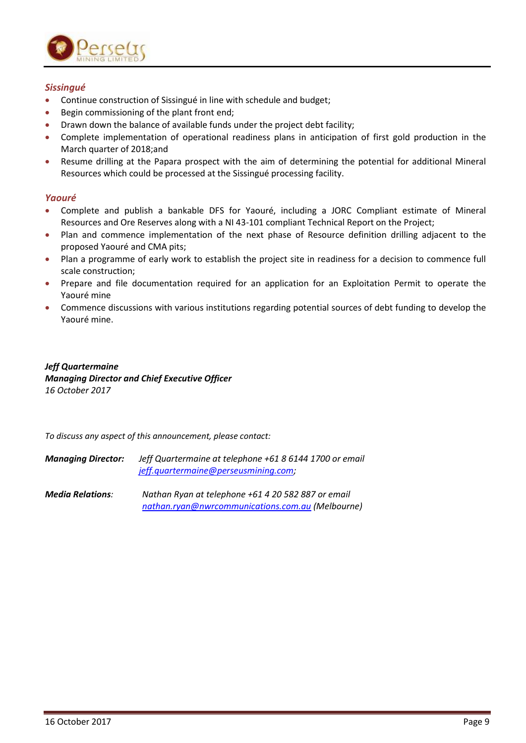

## *Sissingué*

- Continue construction of Sissingué in line with schedule and budget;
- **Begin commissioning of the plant front end;**
- Drawn down the balance of available funds under the project debt facility;
- Complete implementation of operational readiness plans in anticipation of first gold production in the March quarter of 2018;and
- Resume drilling at the Papara prospect with the aim of determining the potential for additional Mineral Resources which could be processed at the Sissingué processing facility.

## *Yaouré*

- Complete and publish a bankable DFS for Yaouré, including a JORC Compliant estimate of Mineral Resources and Ore Reserves along with a NI 43-101 compliant Technical Report on the Project;
- Plan and commence implementation of the next phase of Resource definition drilling adjacent to the proposed Yaouré and CMA pits;
- Plan a programme of early work to establish the project site in readiness for a decision to commence full scale construction;
- Prepare and file documentation required for an application for an Exploitation Permit to operate the Yaouré mine
- Commence discussions with various institutions regarding potential sources of debt funding to develop the Yaouré mine.

## *Jeff Quartermaine Managing Director and Chief Executive Officer 16 October 2017*

*To discuss any aspect of this announcement, please contact:*

| Managing Director: | Jeff Quartermaine at telephone +61 8 6144 1700 or email |
|--------------------|---------------------------------------------------------|
|                    | jeff.quartermaine@perseusmining.com;                    |
|                    |                                                         |

*Media Relations: Nathan Ryan at telephone +61 4 20 582 887 or email [nathan.ryan@nwrcommunications.com.au](mailto:nathan.ryan@nwrcommunications.com) (Melbourne)*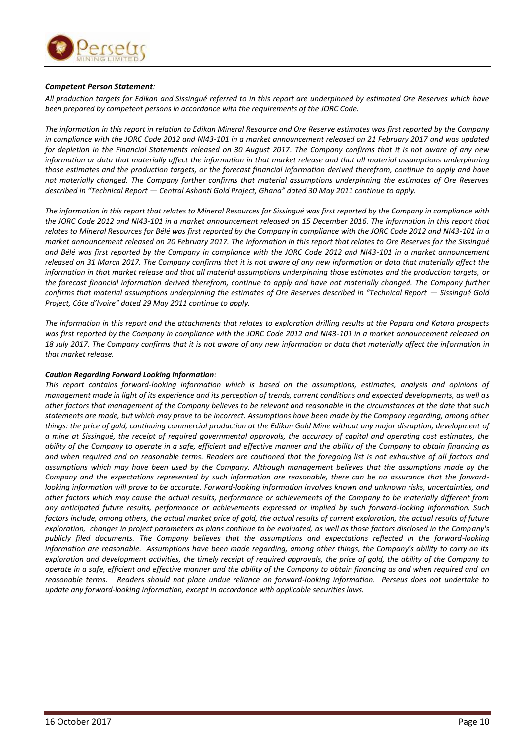

#### *Competent Person Statement:*

*All production targets for Edikan and Sissingué referred to in this report are underpinned by estimated Ore Reserves which have been prepared by competent persons in accordance with the requirements of the JORC Code.* 

*The information in this report in relation to Edikan Mineral Resource and Ore Reserve estimates was first reported by the Company in compliance with the JORC Code 2012 and NI43-101 in a market announcement released on 21 February 2017 and was updated for depletion in the Financial Statements released on 30 August 2017. The Company confirms that it is not aware of any new information or data that materially affect the information in that market release and that all material assumptions underpinning those estimates and the production targets, or the forecast financial information derived therefrom, continue to apply and have not materially changed. The Company further confirms that material assumptions underpinning the estimates of Ore Reserves described in "Technical Report — Central Ashanti Gold Project, Ghana" dated 30 May 2011 continue to apply.* 

*The information in this report that relates to Mineral Resources for Sissingué was first reported by the Company in compliance with the JORC Code 2012 and NI43-101 in a market announcement released on 15 December 2016. The information in this report that relates to Mineral Resources for Bélé was first reported by the Company in compliance with the JORC Code 2012 and NI43-101 in a market announcement released on 20 February 2017. The information in this report that relates to Ore Reserves for the Sissingué and Bélé was first reported by the Company in compliance with the JORC Code 2012 and NI43-101 in a market announcement released on 31 March 2017. The Company confirms that it is not aware of any new information or data that materially affect the information in that market release and that all material assumptions underpinning those estimates and the production targets, or the forecast financial information derived therefrom, continue to apply and have not materially changed. The Company further confirms that material assumptions underpinning the estimates of Ore Reserves described in "Technical Report — Sissingué Gold Project, Côte d'Ivoire" dated 29 May 2011 continue to apply.* 

*The information in this report and the attachments that relates to exploration drilling results at the Papara and Katara prospects was first reported by the Company in compliance with the JORC Code 2012 and NI43-101 in a market announcement released on 18 July 2017. The Company confirms that it is not aware of any new information or data that materially affect the information in that market release.*

#### *Caution Regarding Forward Looking Information:*

*This report contains forward-looking information which is based on the assumptions, estimates, analysis and opinions of management made in light of its experience and its perception of trends, current conditions and expected developments, as well as other factors that management of the Company believes to be relevant and reasonable in the circumstances at the date that such statements are made, but which may prove to be incorrect. Assumptions have been made by the Company regarding, among other things: the price of gold, continuing commercial production at the Edikan Gold Mine without any major disruption, development of a mine at Sissingué, the receipt of required governmental approvals, the accuracy of capital and operating cost estimates, the ability of the Company to operate in a safe, efficient and effective manner and the ability of the Company to obtain financing as and when required and on reasonable terms. Readers are cautioned that the foregoing list is not exhaustive of all factors and assumptions which may have been used by the Company. Although management believes that the assumptions made by the Company and the expectations represented by such information are reasonable, there can be no assurance that the forwardlooking information will prove to be accurate. Forward-looking information involves known and unknown risks, uncertainties, and other factors which may cause the actual results, performance or achievements of the Company to be materially different from any anticipated future results, performance or achievements expressed or implied by such forward-looking information. Such factors include, among others, the actual market price of gold, the actual results of current exploration, the actual results of future exploration, changes in project parameters as plans continue to be evaluated, as well as those factors disclosed in the Company's publicly filed documents. The Company believes that the assumptions and expectations reflected in the forward-looking information are reasonable. Assumptions have been made regarding, among other things, the Company's ability to carry on its exploration and development activities, the timely receipt of required approvals, the price of gold, the ability of the Company to operate in a safe, efficient and effective manner and the ability of the Company to obtain financing as and when required and on reasonable terms. Readers should not place undue reliance on forward-looking information. Perseus does not undertake to update any forward-looking information, except in accordance with applicable securities laws.*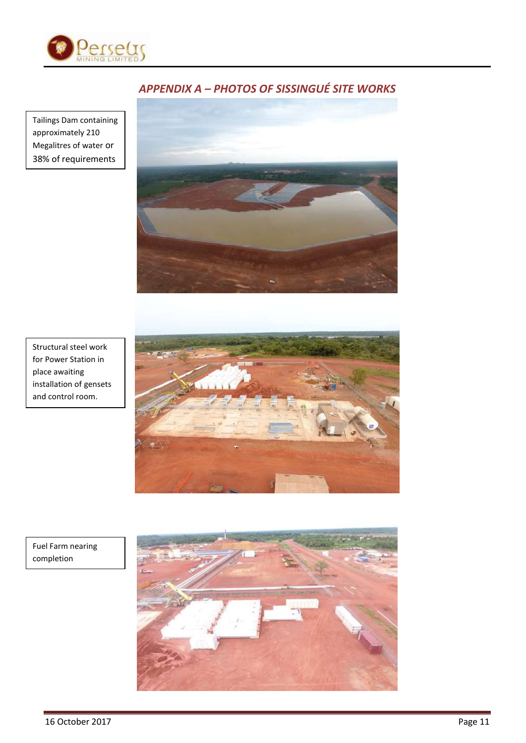

# *APPENDIX A – PHOTOS OF SISSINGUÉ SITE WORKS*

Tailings Dam containing approximately 210 Megalitres of water or 38% of requirements



Structural steel work for Power Station in place awaiting installation of gensets and control room.



Fuel Farm nearing completion

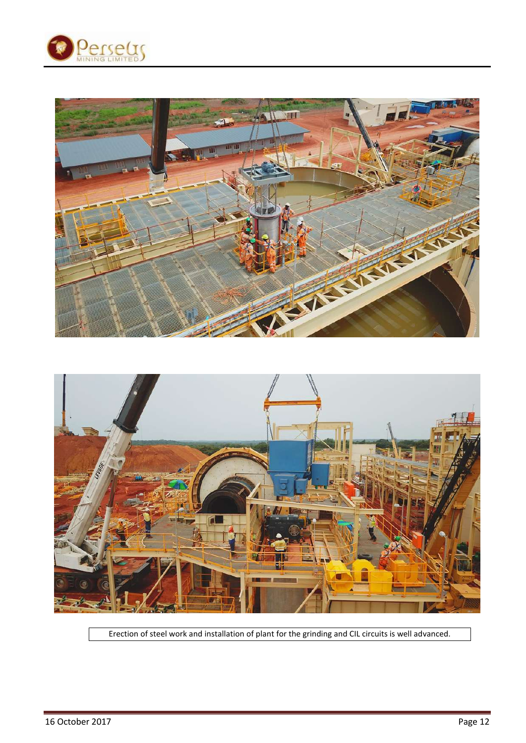





Erection of steel work and installation of plant for the grinding and CIL circuits is well advanced.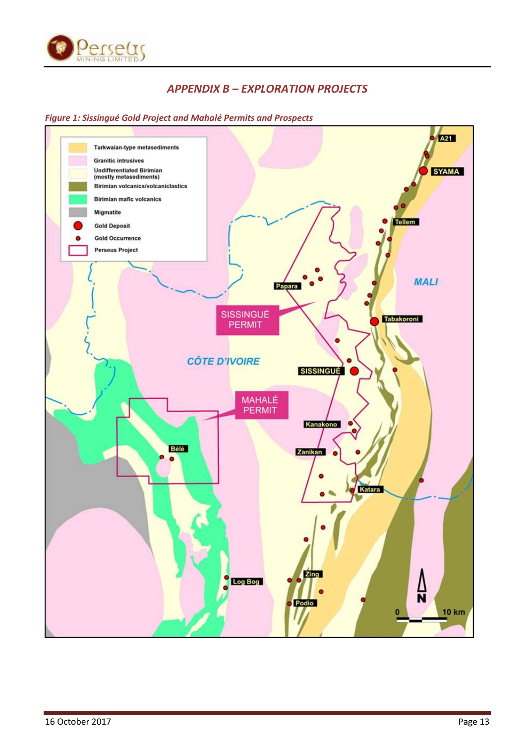

## *APPENDIX B – EXPLORATION PROJECTS*

### *Figure 1: Sissingué Gold Project and Mahalé Permits and Prospects*